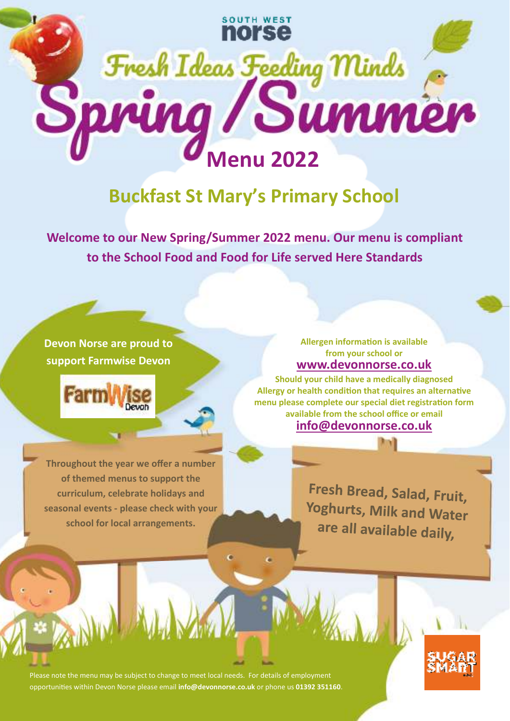

## **Buckfast St Mary's Primary School**

**Welcome to our New Spring/Summer 2022 menu. Our menu is compliant to the School Food and Food for Life served Here Standards** 

## **Devon Norse are proud to support Farmwise Devon**



**Throughout the year we offer a number of themed menus to support the curriculum, celebrate holidays and seasonal events - please check with your school for local arrangements.** 

**www.devonnorse.co.uk Allergen information is available from your school or** 

**info@devonnorse.co.uk Should your child have a medically diagnosed**  Allergy or health condition that requires an alternative menu please complete our special diet registration form **available from the school office or email** 

> Fresh Bread, Salad, Fruit, Yoghurts, Milk and Water are all available daily,

Please note the menu may be subject to change to meet local needs. For details of employment opportunies within Devon Norse please email **info@devonnorse.co.uk** or phone us **01392 351160**.